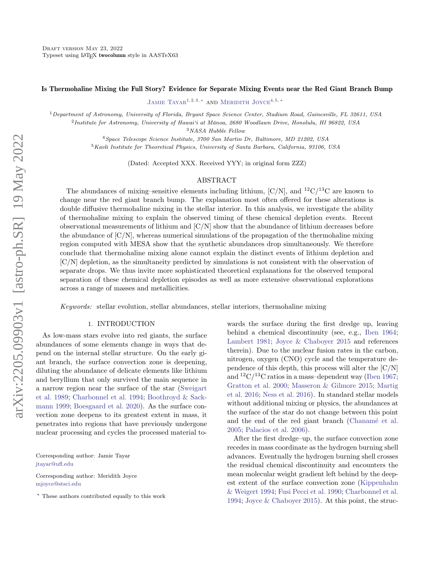# Is Thermohaline Mixing the Full Story? Evidence for Separate Mixing Events near the Red Giant Branch Bump

JAMIE TAYAR<sup>1, 2, 3, \*</sup> AND MERIDITH JOYCE<sup>4, 5, \*</sup>

<sup>1</sup>Department of Astronomy, University of Florida, Bryant Space Science Center, Stadium Road, Gainesville, FL 32611, USA

<sup>2</sup>Institute for Astronomy, University of Hawai'i at Mānoa, 2680 Woodlawn Drive, Honolulu, HI 96822, USA

 $^3\it NASA$  Hubble Fellow

<sup>4</sup>Space Telescope Science Institute, 3700 San Martin Dr, Baltimore, MD 21202, USA

<sup>5</sup>Kavli Institute for Theoretical Physics, University of Santa Barbara, California, 93106, USA

(Dated: Accepted XXX. Received YYY; in original form ZZZ)

### ABSTRACT

The abundances of mixing–sensitive elements including lithium,  $\left[\frac{C}{N}\right]$ , and  $^{12}C^{13}C$  are known to change near the red giant branch bump. The explanation most often offered for these alterations is double diffusive thermohaline mixing in the stellar interior. In this analysis, we investigate the ability of thermohaline mixing to explain the observed timing of these chemical depletion events. Recent observational measurements of lithium and  $[C/N]$  show that the abundance of lithium decreases before the abundance of  $[C/N]$ , whereas numerical simulations of the propagation of the thermohaline mixing region computed with MESA show that the synthetic abundances drop simultaneously. We therefore conclude that thermohaline mixing alone cannot explain the distinct events of lithium depletion and [C/N] depletion, as the simultaneity predicted by simulations is not consistent with the observation of separate drops. We thus invite more sophisticated theoretical explanations for the observed temporal separation of these chemical depletion episodes as well as more extensive observational explorations across a range of masses and metallicities.

Keywords: stellar evolution, stellar abundances, stellar interiors, thermohaline mixing

# 1. INTRODUCTION

As low-mass stars evolve into red giants, the surface abundances of some elements change in ways that depend on the internal stellar structure. On the early giant branch, the surface convection zone is deepening, diluting the abundance of delicate elements like lithium and beryllium that only survived the main sequence in a narrow region near the surface of the star [\(Sweigart](#page-10-0) [et al.](#page-10-0) [1989;](#page-10-0) [Charbonnel et al.](#page-9-0) [1994;](#page-9-0) [Boothroyd & Sack](#page-9-1)[mann](#page-9-1) [1999;](#page-9-1) [Boesgaard et al.](#page-9-2) [2020\)](#page-9-2). As the surface convection zone deepens to its greatest extent in mass, it penetrates into regions that have previously undergone nuclear processing and cycles the processed material to-

Corresponding author: Jamie Tayar [jtayar@ufl.edu](mailto: jtayar@ufl.edu)

Corresponding author: Meridith Joyce [mjoyce@stsci.edu](mailto: mjoyce@stsci.edu)

<span id="page-0-0"></span><sup>∗</sup> These authors contributed equally to this work

wards the surface during the first dredge up, leaving behind a chemical discontinuity (see, e.g., [Iben](#page-9-3) [1964;](#page-9-3) [Lambert](#page-10-1) [1981;](#page-10-1) [Joyce & Chaboyer](#page-10-2) [2015](#page-10-2) and references therein). Due to the nuclear fusion rates in the carbon, nitrogen, oxygen (CNO) cycle and the temperature dependence of this depth, this process will alter the [C/N] and  ${}^{12}C/{}^{13}C$  ratios in a mass-dependent way [\(Iben](#page-9-4) [1967;](#page-9-4) [Gratton et al.](#page-9-5) [2000;](#page-9-5) [Masseron & Gilmore](#page-10-3) [2015;](#page-10-3) [Martig](#page-10-4) [et al.](#page-10-4) [2016;](#page-10-4) [Ness et al.](#page-10-5) [2016\)](#page-10-5). In standard stellar models without additional mixing or physics, the abundances at the surface of the star do not change between this point and the end of the red giant branch (Chanamé et al. [2005;](#page-9-6) [Palacios et al.](#page-10-6) [2006\)](#page-10-6).

After the first dredge–up, the surface convection zone recedes in mass coordinate as the hydrogen burning shell advances. Eventually the hydrogen burning shell crosses the residual chemical discontinuity and encounters the mean molecular weight gradient left behind by the deepest extent of the surface convection zone [\(Kippenhahn](#page-10-7) [& Weigert](#page-10-7) [1994;](#page-10-7) [Fusi Pecci et al.](#page-9-7) [1990;](#page-9-7) [Charbonnel et al.](#page-9-0) [1994;](#page-9-0) [Joyce & Chaboyer](#page-10-2) [2015\)](#page-10-2). At this point, the struc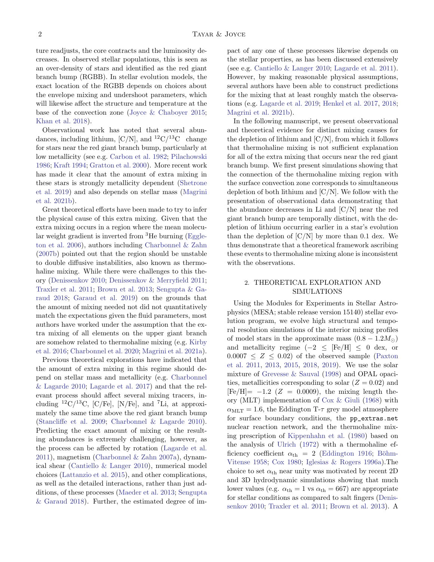ture readjusts, the core contracts and the luminosity decreases. In observed stellar populations, this is seen as an over-density of stars and identified as the red giant branch bump (RGBB). In stellar evolution models, the exact location of the RGBB depends on choices about the envelope mixing and undershoot parameters, which will likewise affect the structure and temperature at the base of the convection zone [\(Joyce & Chaboyer](#page-10-2) [2015;](#page-10-2) [Khan et al.](#page-10-8) [2018\)](#page-10-8).

Observational work has noted that several abundances, including lithium,  $\left[\frac{C}{N}\right]$ , and  $^{12}C/^{13}C$  change for stars near the red giant branch bump, particularly at low metallicity (see e.g. [Carbon et al.](#page-9-8) [1982;](#page-9-8) [Pilachowski](#page-10-9) [1986;](#page-10-9) [Kraft](#page-10-10) [1994;](#page-10-10) [Gratton et al.](#page-9-5) [2000\)](#page-9-5). More recent work has made it clear that the amount of extra mixing in these stars is strongly metallicity dependent [\(Shetrone](#page-10-11) [et al.](#page-10-11) [2019\)](#page-10-11) and also depends on stellar mass [\(Magrini](#page-10-12) [et al.](#page-10-12) [2021b\)](#page-10-12).

Great theoretical efforts have been made to try to infer the physical cause of this extra mixing. Given that the extra mixing occurs in a region where the mean molecular weight gradient is inverted from <sup>3</sup>He burning [\(Eggle](#page-9-9)[ton et al.](#page-9-9) [2006\)](#page-9-9), authors including [Charbonnel & Zahn](#page-9-10) [\(2007b\)](#page-9-10) pointed out that the region should be unstable to double diffusive instabilities, also known as thermohaline mixing. While there were challenges to this theory [\(Denissenkov](#page-9-11) [2010;](#page-9-11) [Denissenkov & Merryfield](#page-9-12) [2011;](#page-9-12) [Traxler et al.](#page-10-13) [2011;](#page-10-13) [Brown et al.](#page-9-13) [2013;](#page-9-13) [Sengupta & Ga](#page-10-14)[raud](#page-10-14) [2018;](#page-10-14) [Garaud et al.](#page-9-14) [2019\)](#page-9-14) on the grounds that the amount of mixing needed not did not quantitatively match the expectations given the fluid parameters, most authors have worked under the assumption that the extra mixing of all elements on the upper giant branch are somehow related to thermohaline mixing (e.g. [Kirby](#page-10-15) [et al.](#page-10-15) [2016;](#page-10-15) [Charbonnel et al.](#page-9-15) [2020;](#page-9-15) [Magrini et al.](#page-10-16) [2021a\)](#page-10-16).

Previous theoretical explorations have indicated that the amount of extra mixing in this regime should depend on stellar mass and metallicity (e.g. [Charbonnel](#page-9-16) [& Lagarde](#page-9-16) [2010;](#page-9-16) [Lagarde et al.](#page-10-17) [2017\)](#page-10-17) and that the relevant process should affect several mixing tracers, including  ${}^{12}C/{}^{13}C$ ,  $[C/Fe]$ ,  $[N/Fe]$ , and  ${}^{7}Li$ , at approximately the same time above the red giant branch bump [\(Stancliffe et al.](#page-10-18) [2009;](#page-10-18) [Charbonnel & Lagarde](#page-9-16) [2010\)](#page-9-16). Predicting the exact amount of mixing or the resulting abundances is extremely challenging, however, as the process can be affected by rotation [\(Lagarde et al.](#page-10-19) [2011\)](#page-10-19), magnetism [\(Charbonnel & Zahn](#page-9-17) [2007a\)](#page-9-17), dynamical shear [\(Cantiello & Langer](#page-9-18) [2010\)](#page-9-18), numerical model choices [\(Lattanzio et al.](#page-10-20) [2015\)](#page-10-20), and other complications, as well as the detailed interactions, rather than just additions, of these processes [\(Maeder et al.](#page-10-21) [2013;](#page-10-21) [Sengupta](#page-10-14) [& Garaud](#page-10-14) [2018\)](#page-10-14). Further, the estimated degree of impact of any one of these processes likewise depends on the stellar properties, as has been discussed extensively (see e.g. [Cantiello & Langer](#page-9-18) [2010;](#page-9-18) [Lagarde et al.](#page-10-19) [2011\)](#page-10-19). However, by making reasonable physical assumptions, several authors have been able to construct predictions for the mixing that at least roughly match the observations (e.g. [Lagarde et al.](#page-10-22) [2019;](#page-10-22) [Henkel et al.](#page-9-19) [2017,](#page-9-19) [2018;](#page-9-20) [Magrini et al.](#page-10-12) [2021b\)](#page-10-12).

In the following manuscript, we present observational and theoretical evidence for distinct mixing causes for the depletion of lithium and  $[C/N]$ , from which it follows that thermohaline mixing is not sufficient explanation for all of the extra mixing that occurs near the red giant branch bump. We first present simulations showing that the connection of the thermohaline mixing region with the surface convection zone corresponds to simultaneous depletion of both lithium and  $[C/N]$ . We follow with the presentation of observational data demonstrating that the abundance decreases in Li and [C/N] near the red giant branch bump are temporally distinct, with the depletion of lithium occurring earlier in a star's evolution than the depletion of  $\lfloor C/N \rfloor$  by more than 0.1 dex. We thus demonstrate that a theoretical framework ascribing these events to thermohaline mixing alone is inconsistent with the observations.

# 2. THEORETICAL EXPLORATION AND SIMULATIONS

Using the Modules for Experiments in Stellar Astrophysics (MESA; stable release version 15140) stellar evolution program, we evolve high structural and temporal resolution simulations of the interior mixing profiles of model stars in the approximate mass  $(0.8 - 1.2M_{\odot})$ and metallicity regime  $(-2 \leq$  [Fe/H]  $\leq 0$  dex, or  $0.0007 \leq Z \leq 0.02$  of the observed sample [\(Paxton](#page-10-23) [et al.](#page-10-23) [2011,](#page-10-23) [2013,](#page-10-24) [2015,](#page-10-25) [2018,](#page-10-26) [2019\)](#page-10-27). We use the solar mixture of [Grevesse & Sauval](#page-9-21) [\(1998\)](#page-9-21) and OPAL opacities, metallicities corresponding to solar  $(Z = 0.02)$  and  $[Fe/H] = -1.2$  ( $Z = 0.0009$ ), the mixing length theory (MLT) implementation of [Cox & Giuli](#page-9-22) [\(1968\)](#page-9-22) with  $\alpha_{\text{MLT}} = 1.6$ , the Eddington T- $\tau$  grey model atmosphere for surface boundary conditions, the pp\_extras.net nuclear reaction network, and the thermohaline mixing prescription of [Kippenhahn et al.](#page-10-28) [\(1980\)](#page-10-28) based on the analysis of [Ulrich](#page-10-29) [\(1972\)](#page-10-29) with a thermohaline efficiency coefficient  $\alpha_{\text{th}} = 2$  [\(Eddington](#page-9-23) [1916;](#page-9-23) Böhm-[Vitense](#page-9-24) [1958;](#page-9-24) [Cox](#page-9-25) [1980;](#page-9-25) [Iglesias & Rogers](#page-9-26) [1996a\)](#page-9-26).The choice to set  $\alpha_{\text{th}}$  near unity was motivated by recent 2D and 3D hydrodynamic simulations showing that much lower values (e.g.  $\alpha_{\text{th}} = 1$  vs  $\alpha_{\text{th}} = 667$ ) are appropriate for stellar conditions as compared to salt fingers [\(Denis](#page-9-11)[senkov](#page-9-11) [2010;](#page-9-11) [Traxler et al.](#page-10-13) [2011;](#page-10-13) [Brown et al.](#page-9-13) [2013\)](#page-9-13). A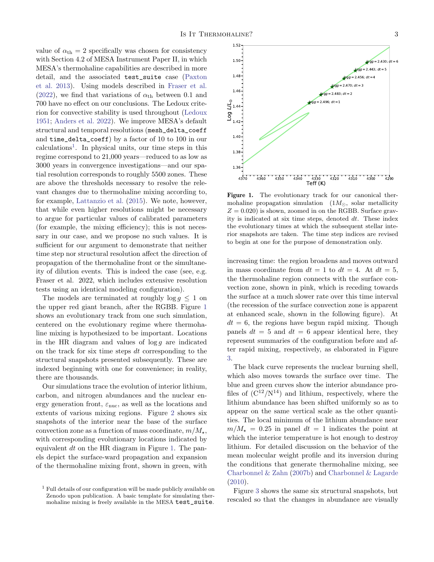value of  $\alpha_{\rm th} = 2$  specifically was chosen for consistency with Section 4.2 of MESA Instrument Paper II, in which MESA's thermohaline capabilities are described in more detail, and the associated test\_suite case [\(Paxton](#page-10-24) [et al.](#page-10-24) [2013\)](#page-10-24). Using models described in [Fraser et al.](#page-9-27) [\(2022\)](#page-9-27), we find that variations of  $\alpha_{\text{th}}$  between 0.1 and 700 have no effect on our conclusions. The Ledoux criterion for convective stability is used throughout [\(Ledoux](#page-10-30) [1951;](#page-10-30) [Anders et al.](#page-9-28) [2022\)](#page-9-28). We improve MESA's default structural and temporal resolutions (mesh\_delta\_coeff and time\_delta\_coeff) by a factor of 10 to 100 in our calculations[1](#page-2-0) . In physical units, our time steps in this regime correspond to 21,000 years—reduced to as low as 3000 years in convergence investigations—and our spatial resolution corresponds to roughly 5500 zones. These are above the thresholds necessary to resolve the relevant changes due to thermohaline mixing according to, for example, [Lattanzio et al.](#page-10-20) [\(2015\)](#page-10-20). We note, however, that while even higher resolutions might be necessary to argue for particular values of calibrated parameters (for example, the mixing efficiency); this is not necessary in our case, and we propose no such values. It is sufficient for our argument to demonstrate that neither time step nor structural resolution affect the direction of propagation of the thermohaline front or the simultaneity of dilution events. This is indeed the case (see, e.g. Fraser et al. 2022, which includes extensive resolution tests using an identical modeling configuration).

The models are terminated at roughly  $log q \leq 1$  on the upper red giant branch, after the RGBB. Figure [1](#page-2-1) shows an evolutionary track from one such simulation, centered on the evolutionary regime where thermohaline mixing is hypothesized to be important. Locations in the HR diagram and values of  $\log g$  are indicated on the track for six time steps dt corresponding to the structural snapshots presented subsequently. These are indexed beginning with one for convenience; in reality, there are thousands.

Our simulations trace the evolution of interior lithium, carbon, and nitrogen abundances and the nuclear energy generation front,  $\varepsilon_{\text{nuc}},$  as well as the locations and extents of various mixing regions. Figure [2](#page-4-0) shows six snapshots of the interior near the base of the surface convection zone as a function of mass coordinate,  $m/M_*$ , with corresponding evolutionary locations indicated by equivalent  $dt$  on the HR diagram in Figure [1.](#page-2-1) The panels depict the surface-ward propagation and expansion of the thermohaline mixing front, shown in green, with



<span id="page-2-1"></span>Figure 1. The evolutionary track for our canonical thermohaline propagation simulation  $(1 M_{\odot}, \text{ solar metallicity})$  $Z = 0.020$ ) is shown, zoomed in on the RGBB. Surface gravity is indicated at six time steps, denoted dt. These index the evolutionary times at which the subsequent stellar interior snapshots are taken. The time step indices are revised to begin at one for the purpose of demonstration only.

increasing time: the region broadens and moves outward in mass coordinate from  $dt = 1$  to  $dt = 4$ . At  $dt = 5$ , the thermohaline region connects with the surface convection zone, shown in pink, which is receding towards the surface at a much slower rate over this time interval (the recession of the surface convection zone is apparent at enhanced scale, shown in the following figure). At  $dt = 6$ , the regions have begun rapid mixing. Though panels  $dt = 5$  and  $dt = 6$  appear identical here, they represent summaries of the configuration before and after rapid mixing, respectively, as elaborated in Figure [3.](#page-5-0)

The black curve represents the nuclear burning shell, which also moves towards the surface over time. The blue and green curves show the interior abundance profiles of  $(C^{12}/N^{14})$  and lithium, respectively, where the lithium abundance has been shifted uniformly so as to appear on the same vertical scale as the other quantities. The local minimum of the lithium abundance near  $m/M_{\star} = 0.25$  in panel  $dt = 1$  indicates the point at which the interior temperature is hot enough to destroy lithium. For detailed discussion on the behavior of the mean molecular weight profile and its inversion during the conditions that generate thermohaline mixing, see [Charbonnel & Zahn](#page-9-10) [\(2007b\)](#page-9-10) and [Charbonnel & Lagarde](#page-9-16) [\(2010\)](#page-9-16).

Figure [3](#page-5-0) shows the same six structural snapshots, but rescaled so that the changes in abundance are visually

<span id="page-2-0"></span><sup>&</sup>lt;sup>1</sup> Full details of our configuration will be made publicly available on Zenodo upon publication. A basic template for simulating thermohaline mixing is freely available in the MESA test\_suite.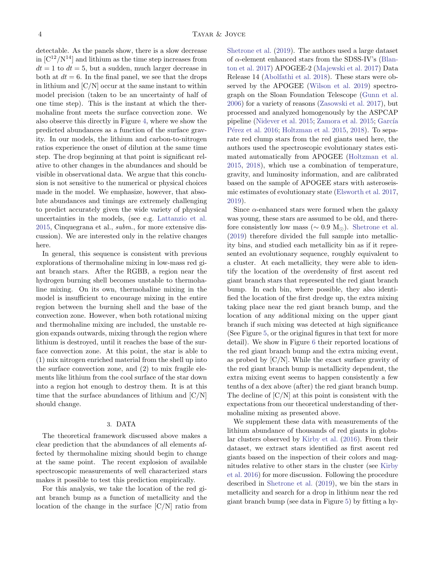detectable. As the panels show, there is a slow decrease in  $[C^{12}/N^{14}]$  and lithium as the time step increases from  $dt = 1$  to  $dt = 5$ , but a sudden, much larger decrease in both at  $dt = 6$ . In the final panel, we see that the drops in lithium and  $[C/N]$  occur at the same instant to within model precision (taken to be an uncertainty of half of one time step). This is the instant at which the thermohaline front meets the surface convection zone. We also observe this directly in Figure [4,](#page-6-0) where we show the predicted abundances as a function of the surface gravity. In our models, the lithium and carbon-to-nitrogen ratios experience the onset of dilution at the same time step. The drop beginning at that point is significant relative to other changes in the abundances and should be visible in observational data. We argue that this conclusion is not sensitive to the numerical or physical choices made in the model. We emphasize, however, that absolute abundances and timings are extremely challenging to predict accurately given the wide variety of physical uncertainties in the models, (see e.g. [Lattanzio et al.](#page-10-20) [2015,](#page-10-20) Cinquegrana et al., subm., for more extensive discussion). We are interested only in the relative changes here.

In general, this sequence is consistent with previous explorations of thermohaline mixing in low-mass red giant branch stars. After the RGBB, a region near the hydrogen burning shell becomes unstable to thermohaline mixing. On its own, thermohaline mixing in the model is insufficient to encourage mixing in the entire region between the burning shell and the base of the convection zone. However, when both rotational mixing and thermohaline mixing are included, the unstable region expands outwards, mixing through the region where lithium is destroyed, until it reaches the base of the surface convection zone. At this point, the star is able to (1) mix nitrogen enriched material from the shell up into the surface convection zone, and (2) to mix fragile elements like lithium from the cool surface of the star down into a region hot enough to destroy them. It is at this time that the surface abundances of lithium and  $\left[{\rm C/N}\right]$ should change.

### 3. DATA

<span id="page-3-0"></span>The theoretical framework discussed above makes a clear prediction that the abundances of all elements affected by thermohaline mixing should begin to change at the same point. The recent explosion of available spectroscopic measurements of well characterized stars makes it possible to test this prediction empirically.

For this analysis, we take the location of the red giant branch bump as a function of metallicity and the location of the change in the surface  $\left[\frac{C}{N}\right]$  ratio from

[Shetrone et al.](#page-10-11) [\(2019\)](#page-10-11). The authors used a large dataset of  $\alpha$ -element enhanced stars from the SDSS-IV's [\(Blan](#page-9-29)[ton et al.](#page-9-29) [2017\)](#page-9-29) APOGEE-2 [\(Majewski et al.](#page-10-31) [2017\)](#page-10-31) Data Release 14 [\(Abolfathi et al.](#page-9-30) [2018\)](#page-9-30). These stars were observed by the APOGEE [\(Wilson et al.](#page-10-32) [2019\)](#page-10-32) spectrograph on the Sloan Foundation Telescope [\(Gunn et al.](#page-9-31) [2006\)](#page-9-31) for a variety of reasons [\(Zasowski et al.](#page-10-33) [2017\)](#page-10-33), but processed and analyzed homogenously by the ASPCAP pipeline [\(Nidever et al.](#page-10-34) [2015;](#page-10-35) [Zamora et al.](#page-10-35) 2015; García Pérez et al.  $2016$ ; [Holtzman et al.](#page-9-33)  $2015$ ,  $2018$ ). To separate red clump stars from the red giants used here, the authors used the spectroscopic evolutionary states estimated automatically from APOGEE [\(Holtzman et al.](#page-9-33) [2015,](#page-9-33) [2018\)](#page-9-34), which use a combination of temperature, gravity, and luminosity information, and are calibrated based on the sample of APOGEE stars with asteroseismic estimates of evolutionary state [\(Elsworth et al.](#page-9-35) [2017,](#page-9-35) [2019\)](#page-9-36).

Since  $\alpha$ -enhanced stars were formed when the galaxy was young, these stars are assumed to be old, and therefore consistently low mass ( $\sim 0.9 \text{ M}_{\odot}$ ). [Shetrone et al.](#page-10-11) [\(2019\)](#page-10-11) therefore divided the full sample into metallicity bins, and studied each metallicity bin as if it represented an evolutionary sequence, roughly equivalent to a cluster. At each metallicity, they were able to identify the location of the overdensity of first ascent red giant branch stars that represented the red giant branch bump. In each bin, where possible, they also identified the location of the first dredge up, the extra mixing taking place near the red giant branch bump, and the location of any additional mixing on the upper giant branch if such mixing was detected at high significance (See Figure [5,](#page-6-1) or the original figures in that text for more detail). We show in Figure [6](#page-7-0) their reported locations of the red giant branch bump and the extra mixing event, as probed by  $[C/N]$ . While the exact surface gravity of the red giant branch bump is metallicity dependent, the extra mixing event seems to happen consistently a few tenths of a dex above (after) the red giant branch bump. The decline of  $\left[{\rm C/N}\right]$  at this point is consistent with the expectations from our theoretical understanding of thermohaline mixing as presented above.

We supplement these data with measurements of the lithium abundance of thousands of red giants in globular clusters observed by [Kirby et al.](#page-10-15) [\(2016\)](#page-10-15). From their dataset, we extract stars identified as first ascent red giants based on the inspection of their colors and magnitudes relative to other stars in the cluster (see [Kirby](#page-10-15) [et al.](#page-10-15) [2016\)](#page-10-15) for more discussion. Following the procedure described in [Shetrone et al.](#page-10-11) [\(2019\)](#page-10-11), we bin the stars in metallicity and search for a drop in lithium near the red giant branch bump (see data in Figure [5\)](#page-6-1) by fitting a hy-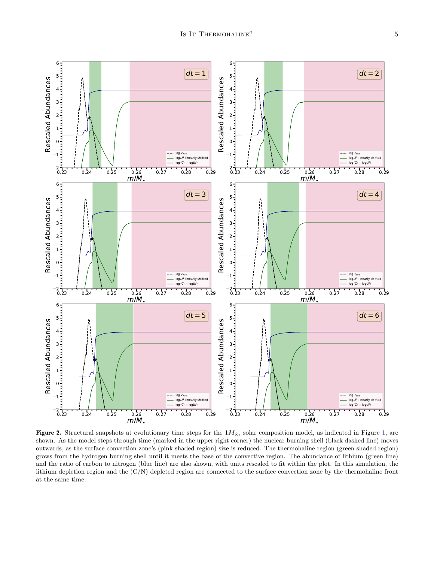

<span id="page-4-0"></span>Figure 2. Structural snapshots at evolutionary time steps for the  $1M_{\odot}$ , solar composition model, as indicated in Figure [1,](#page-2-1) are shown. As the model steps through time (marked in the upper right corner) the nuclear burning shell (black dashed line) moves outwards, as the surface convection zone's (pink shaded region) size is reduced. The thermohaline region (green shaded region) grows from the hydrogen burning shell until it meets the base of the convective region. The abundance of lithium (green line) and the ratio of carbon to nitrogen (blue line) are also shown, with units rescaled to fit within the plot. In this simulation, the lithium depletion region and the (C/N) depleted region are connected to the surface convection zone by the thermohaline front at the same time.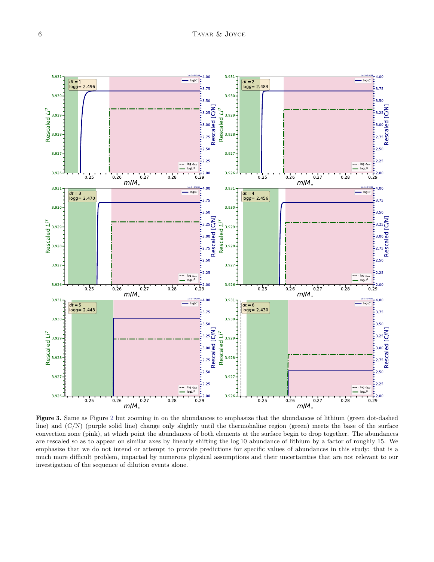

<span id="page-5-0"></span>Figure 3. Same as Figure [2](#page-4-0) but zooming in on the abundances to emphasize that the abundances of lithium (green dot-dashed line) and (C/N) (purple solid line) change only slightly until the thermohaline region (green) meets the base of the surface convection zone (pink), at which point the abundances of both elements at the surface begin to drop together. The abundances are rescaled so as to appear on similar axes by linearly shifting the log 10 abundance of lithium by a factor of roughly 15. We emphasize that we do not intend or attempt to provide predictions for specific values of abundances in this study: that is a much more difficult problem, impacted by numerous physical assumptions and their uncertainties that are not relevant to our investigation of the sequence of dilution events alone.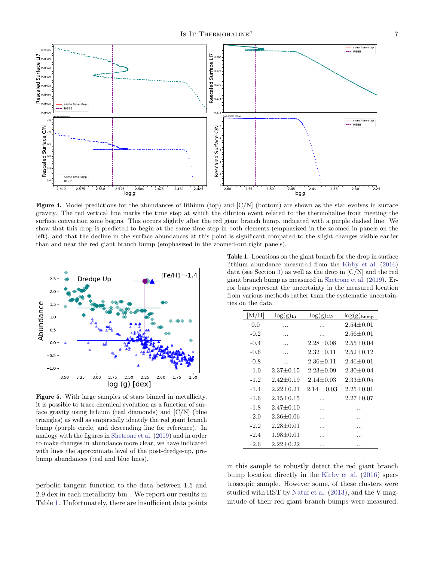

<span id="page-6-0"></span>**Figure 4.** Model predictions for the abundances of lithium (top) and  $C/N$  (bottom) are shown as the star evolves in surface gravity. The red vertical line marks the time step at which the dilution event related to the thermohaline front meeting the surface convection zone begins. This occurs slightly after the red giant branch bump, indicated with a purple dashed line. We show that this drop is predicted to begin at the same time step in both elements (emphasized in the zoomed-in panels on the left), and that the decline in the surface abundances at this point is significant compared to the slight changes visible earlier than and near the red giant branch bump (emphasized in the zoomed-out right panels).



<span id="page-6-1"></span>Figure 5. With large samples of stars binned in metallicity, it is possible to trace chemical evolution as a function of surface gravity using lithium (teal diamonds) and [C/N] (blue triangles) as well as empirically identify the red giant branch bump (purple circle, and descending line for reference). In analogy with the figures in [Shetrone et al.](#page-10-11) [\(2019\)](#page-10-11) and in order to make changes in abundance more clear, we have indicated with lines the approximate level of the post-dredge-up, prebump abundances (teal and blue lines).

perbolic tangent function to the data between 1.5 and 2.9 dex in each metallicity bin . We report our results in Table [1.](#page-6-2) Unfortunately, there are insufficient data points

<span id="page-6-2"></span>Table 1. Locations on the giant branch for the drop in surface lithium abundance measured from the [Kirby et al.](#page-10-15) [\(2016\)](#page-10-15) data (see Section [3\)](#page-3-0) as well as the drop in [C/N] and the red giant branch bump as measured in [Shetrone et al.](#page-10-11) [\(2019\)](#page-10-11). Error bars represent the uncertainty in the measured location from various methods rather than the systematic uncertainties on the data.

| $\rm [M/H]$ | $log(g)_{Li}$   | $log(g)_{CN}$ | $log(g)_{\text{bump}}$ |
|-------------|-----------------|---------------|------------------------|
| 0.0         | .               |               | $2.54 + 0.01$          |
| $-0.2$      |                 | .             | $2.56 + 0.01$          |
| $-0.4$      |                 | $2.28 + 0.08$ | $2.55 + 0.04$          |
| $-0.6$      |                 | $2.32 + 0.11$ | $2.52 + 0.12$          |
| $-0.8$      |                 | $2.36 + 0.11$ | $2.46 + 0.01$          |
| $-1.0$      | $2.37 + 0.15$   | $2.23 + 0.09$ | $2.30 + 0.04$          |
| $-1.2$      | $2.42 + 0.19$   | $2.14 + 0.03$ | $2.33 + 0.05$          |
| $-1.4$      | $2.22 + 0.21$   | $2.14 + 0.03$ | $2.25 + 0.01$          |
| -1.6        | $2.15 + 0.15$   |               | $2.27 + 0.07$          |
| $-1.8$      | $2.47 + 0.10$   | .             |                        |
| $-2.0$      | $2.36 \pm 0.06$ | .             | .                      |
| $-2.2$      | $2.28 + 0.01$   | .             | .                      |
| $-2.4$      | $1.98 \pm 0.01$ | .             | .                      |
| $-2.6$      | $2.22 + 0.22$   | .             | .                      |

in this sample to robustly detect the red giant branch bump location directly in the [Kirby et al.](#page-10-15) [\(2016\)](#page-10-15) spectroscopic sample. However some, of these clusters were studied with HST by [Nataf et al.](#page-10-36) [\(2013\)](#page-10-36), and the V magnitude of their red giant branch bumps were measured.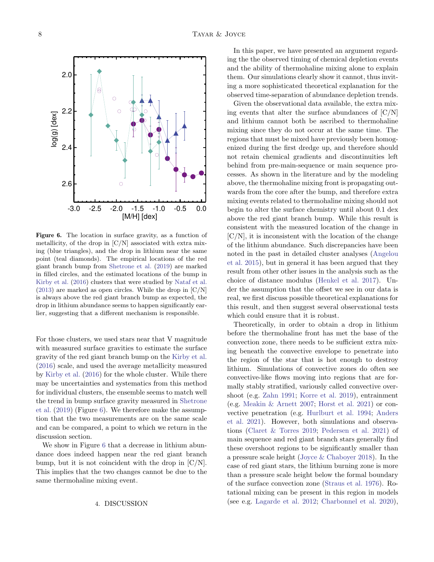<span id="page-7-0"></span>Figure 6. The location in surface gravity, as a function of metallicity, of the drop in  $\left[{\rm C/N}\right]$  associated with extra mixing (blue triangles), and the drop in lithium near the same point (teal diamonds). The empirical locations of the red giant branch bump from [Shetrone et al.](#page-10-11) [\(2019\)](#page-10-11) are marked in filled circles, and the estimated locations of the bump in [Kirby et al.](#page-10-15) [\(2016\)](#page-10-15) clusters that were studied by [Nataf et al.](#page-10-36)  $(2013)$  are marked as open circles. While the drop in  $\lfloor C/N \rfloor$ is always above the red giant branch bump as expected, the drop in lithium abundance seems to happen significantly earlier, suggesting that a different mechanism is responsible.

For those clusters, we used stars near that V magnitude with measured surface gravities to estimate the surface gravity of the red giant branch bump on the [Kirby et al.](#page-10-15) [\(2016\)](#page-10-15) scale, and used the average metallicity measured by [Kirby et al.](#page-10-15) [\(2016\)](#page-10-15) for the whole cluster. While there may be uncertainties and systematics from this method for individual clusters, the ensemble seems to match well the trend in bump surface gravity measured in [Shetrone](#page-10-11) [et al.](#page-10-11) [\(2019\)](#page-10-11) (Figure [6\)](#page-7-0). We therefore make the assumption that the two measurements are on the same scale and can be compared, a point to which we return in the discussion section.

We show in Figure [6](#page-7-0) that a decrease in lithium abundance does indeed happen near the red giant branch bump, but it is not coincident with the drop in  $\lbrack C/N \rbrack$ . This implies that the two changes cannot be due to the same thermohaline mixing event.

#### 4. DISCUSSION

In this paper, we have presented an argument regarding the the observed timing of chemical depletion events and the ability of thermohaline mixing alone to explain them. Our simulations clearly show it cannot, thus inviting a more sophisticated theoretical explanation for the observed time-separation of abundance depletion trends.

Given the observational data available, the extra mixing events that alter the surface abundances of  $\left[\frac{C}{N}\right]$ and lithium cannot both be ascribed to thermohaline mixing since they do not occur at the same time. The regions that must be mixed have previously been homogenized during the first dredge up, and therefore should not retain chemical gradients and discontinuities left behind from pre-main-sequence or main sequence processes. As shown in the literature and by the modeling above, the thermohaline mixing front is propagating outwards from the core after the bump, and therefore extra mixing events related to thermohaline mixing should not begin to alter the surface chemistry until about 0.1 dex above the red giant branch bump. While this result is consistent with the measured location of the change in  $[C/N]$ , it is inconsistent with the location of the change of the lithium abundance. Such discrepancies have been noted in the past in detailed cluster analyses [\(Angelou](#page-9-37) [et al.](#page-9-37) [2015\)](#page-9-37), but in general it has been argued that they result from other other issues in the analysis such as the choice of distance modulus [\(Henkel et al.](#page-9-19) [2017\)](#page-9-19). Under the assumption that the offset we see in our data is real, we first discuss possible theoretical explanations for this result, and then suggest several observational tests which could ensure that it is robust.

Theoretically, in order to obtain a drop in lithium before the thermohaline front has met the base of the convection zone, there needs to be sufficient extra mixing beneath the convective envelope to penetrate into the region of the star that is hot enough to destroy lithium. Simulations of convective zones do often see convective-like flows moving into regions that are formally stably stratified, variously called convective overshoot (e.g. [Zahn](#page-10-37) [1991;](#page-10-37) [Korre et al.](#page-10-38) [2019\)](#page-10-38), entrainment (e.g. [Meakin & Arnett](#page-10-39) [2007;](#page-10-39) [Horst et al.](#page-9-38) [2021\)](#page-9-38) or convective penetration (e.g. [Hurlburt et al.](#page-9-39) [1994;](#page-9-39) [Anders](#page-9-40) [et al.](#page-9-40) [2021\)](#page-9-40). However, both simulations and observations [\(Claret & Torres](#page-9-41) [2019;](#page-9-41) [Pedersen et al.](#page-10-40) [2021\)](#page-10-40) of main sequence and red giant branch stars generally find these overshoot regions to be significantly smaller than a pressure scale height [\(Joyce & Chaboyer](#page-10-41) [2018\)](#page-10-41). In the case of red giant stars, the lithium burning zone is more than a pressure scale height below the formal boundary of the surface convection zone [\(Straus et al.](#page-10-42) [1976\)](#page-10-42). Rotational mixing can be present in this region in models (see e.g. [Lagarde et al.](#page-10-43) [2012;](#page-10-43) [Charbonnel et al.](#page-9-15) [2020\)](#page-9-15),

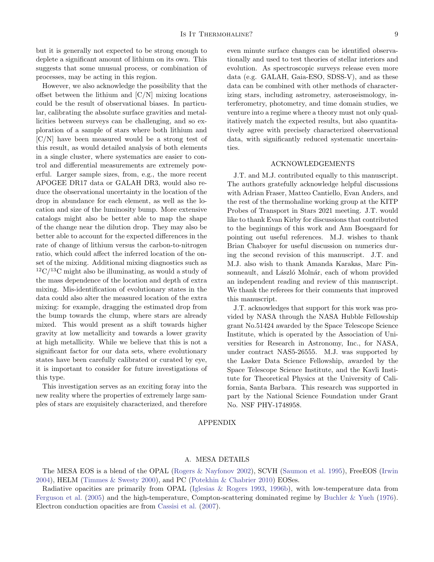but it is generally not expected to be strong enough to deplete a significant amount of lithium on its own. This suggests that some unusual process, or combination of processes, may be acting in this region.

However, we also acknowledge the possibility that the offset between the lithium and  $\left[{\rm C/N}\right]$  mixing locations could be the result of observational biases. In particular, calibrating the absolute surface gravities and metallicities between surveys can be challenging, and so exploration of a sample of stars where both lithium and [C/N] have been measured would be a strong test of this result, as would detailed analysis of both elements in a single cluster, where systematics are easier to control and differential measurements are extremely powerful. Larger sample sizes, from, e.g., the more recent APOGEE DR17 data or GALAH DR3, would also reduce the observational uncertainty in the location of the drop in abundance for each element, as well as the location and size of the luminosity bump. More extensive catalogs might also be better able to map the shape of the change near the dilution drop. They may also be better able to account for the expected differences in the rate of change of lithium versus the carbon-to-nitrogen ratio, which could affect the inferred location of the onset of the mixing. Additional mixing diagnostics such as  $12^1C/13C$  might also be illuminating, as would a study of the mass dependence of the location and depth of extra mixing. Mis-identification of evolutionary states in the data could also alter the measured location of the extra mixing: for example, dragging the estimated drop from the bump towards the clump, where stars are already mixed. This would present as a shift towards higher gravity at low metallicity and towards a lower gravity at high metallicity. While we believe that this is not a significant factor for our data sets, where evolutionary states have been carefully calibrated or curated by eye, it is important to consider for future investigations of this type.

This investigation serves as an exciting foray into the new reality where the properties of extremely large samples of stars are exquisitely characterized, and therefore even minute surface changes can be identified observationally and used to test theories of stellar interiors and evolution. As spectroscopic surveys release even more data (e.g. GALAH, Gaia-ESO, SDSS-V), and as these data can be combined with other methods of characterizing stars, including astrometry, asteroseismology, interferometry, photometry, and time domain studies, we venture into a regime where a theory must not only qualitatively match the expected results, but also quantitatively agree with precisely characterized observational data, with significantly reduced systematic uncertainties.

# ACKNOWLEDGEMENTS

J.T. and M.J. contributed equally to this manuscript. The authors gratefully acknowledge helpful discussions with Adrian Fraser, Matteo Cantiello, Evan Anders, and the rest of the thermohaline working group at the KITP Probes of Transport in Stars 2021 meeting. J.T. would like to thank Evan Kirby for discussions that contributed to the beginnings of this work and Ann Boesgaard for pointing out useful references. M.J. wishes to thank Brian Chaboyer for useful discussion on numerics during the second revision of this manuscript. J.T. and M.J. also wish to thank Amanda Karakas, Marc Pinsonneault, and László Molnár, each of whom provided an independent reading and review of this manuscript. We thank the referees for their comments that improved this manuscript.

J.T. acknowledges that support for this work was provided by NASA through the NASA Hubble Fellowship grant No.51424 awarded by the Space Telescope Science Institute, which is operated by the Association of Universities for Research in Astronomy, Inc., for NASA, under contract NAS5-26555. M.J. was supported by the Lasker Data Science Fellowship, awarded by the Space Telescope Science Institute, and the Kavli Institute for Theoretical Physics at the University of California, Santa Barbara. This research was supported in part by the National Science Foundation under Grant No. NSF PHY-1748958.

### APPENDIX

#### A. MESA DETAILS

The MESA EOS is a blend of the OPAL [\(Rogers & Nayfonov](#page-10-44) [2002\)](#page-10-44), SCVH [\(Saumon et al.](#page-10-45) [1995\)](#page-10-45), FreeEOS [\(Irwin](#page-9-42) [2004\)](#page-9-42), HELM [\(Timmes & Swesty](#page-10-46) [2000\)](#page-10-46), and PC [\(Potekhin & Chabrier](#page-10-47) [2010\)](#page-10-47) EOSes.

Radiative opacities are primarily from OPAL [\(Iglesias & Rogers](#page-9-43) [1993,](#page-9-43) [1996b\)](#page-9-44), with low-temperature data from [Ferguson et al.](#page-9-45) [\(2005\)](#page-9-45) and the high-temperature, Compton-scattering dominated regime by [Buchler & Yueh](#page-9-46) [\(1976\)](#page-9-46). Electron conduction opacities are from [Cassisi et al.](#page-9-47) [\(2007\)](#page-9-47).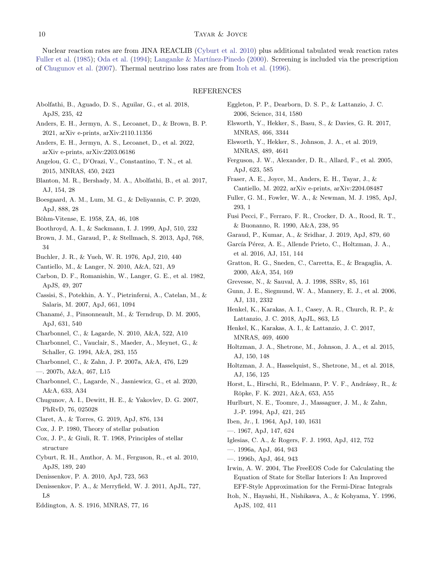# 10 TAYAR & JOYCE

Nuclear reaction rates are from JINA REACLIB [\(Cyburt et al.](#page-9-48) [2010\)](#page-9-48) plus additional tabulated weak reaction rates [Fuller et al.](#page-9-49) [\(1985\)](#page-9-49); [Oda et al.](#page-10-48) [\(1994\)](#page-10-48); Langanke & Martínez-Pinedo [\(2000\)](#page-10-49). Screening is included via the prescription of [Chugunov et al.](#page-9-50) [\(2007\)](#page-9-50). Thermal neutrino loss rates are from [Itoh et al.](#page-9-51) [\(1996\)](#page-9-51).

#### REFERENCES

- <span id="page-9-30"></span>Abolfathi, B., Aguado, D. S., Aguilar, G., et al. 2018, ApJS, 235, 42
- <span id="page-9-40"></span>Anders, E. H., Jermyn, A. S., Lecoanet, D., & Brown, B. P. 2021, arXiv e-prints, arXiv:2110.11356
- <span id="page-9-28"></span>Anders, E. H., Jermyn, A. S., Lecoanet, D., et al. 2022, arXiv e-prints, arXiv:2203.06186
- <span id="page-9-37"></span>Angelou, G. C., D'Orazi, V., Constantino, T. N., et al. 2015, MNRAS, 450, 2423
- <span id="page-9-29"></span>Blanton, M. R., Bershady, M. A., Abolfathi, B., et al. 2017, AJ, 154, 28
- <span id="page-9-2"></span>Boesgaard, A. M., Lum, M. G., & Deliyannis, C. P. 2020, ApJ, 888, 28
- <span id="page-9-24"></span>Böhm-Vitense, E. 1958, ZA, 46, 108
- <span id="page-9-1"></span>Boothroyd, A. I., & Sackmann, I. J. 1999, ApJ, 510, 232
- <span id="page-9-13"></span>Brown, J. M., Garaud, P., & Stellmach, S. 2013, ApJ, 768, 34
- <span id="page-9-46"></span>Buchler, J. R., & Yueh, W. R. 1976, ApJ, 210, 440
- <span id="page-9-18"></span>Cantiello, M., & Langer, N. 2010, A&A, 521, A9
- <span id="page-9-8"></span>Carbon, D. F., Romanishin, W., Langer, G. E., et al. 1982, ApJS, 49, 207
- <span id="page-9-47"></span>Cassisi, S., Potekhin, A. Y., Pietrinferni, A., Catelan, M., & Salaris, M. 2007, ApJ, 661, 1094
- <span id="page-9-6"></span>Chanamé, J., Pinsonneault, M., & Terndrup, D. M. 2005, ApJ, 631, 540
- <span id="page-9-16"></span>Charbonnel, C., & Lagarde, N. 2010, A&A, 522, A10
- <span id="page-9-0"></span>Charbonnel, C., Vauclair, S., Maeder, A., Meynet, G., & Schaller, G. 1994, A&A, 283, 155
- <span id="page-9-17"></span>Charbonnel, C., & Zahn, J. P. 2007a, A&A, 476, L29
- <span id="page-9-10"></span>—. 2007b, A&A, 467, L15
- <span id="page-9-15"></span>Charbonnel, C., Lagarde, N., Jasniewicz, G., et al. 2020, A&A, 633, A34
- <span id="page-9-50"></span>Chugunov, A. I., Dewitt, H. E., & Yakovlev, D. G. 2007, PhRvD, 76, 025028
- <span id="page-9-41"></span>Claret, A., & Torres, G. 2019, ApJ, 876, 134
- <span id="page-9-25"></span>Cox, J. P. 1980, Theory of stellar pulsation
- <span id="page-9-22"></span>Cox, J. P., & Giuli, R. T. 1968, Principles of stellar structure
- <span id="page-9-48"></span>Cyburt, R. H., Amthor, A. M., Ferguson, R., et al. 2010, ApJS, 189, 240
- <span id="page-9-11"></span>Denissenkov, P. A. 2010, ApJ, 723, 563
- <span id="page-9-12"></span>Denissenkov, P. A., & Merryfield, W. J. 2011, ApJL, 727, L8
- <span id="page-9-23"></span>Eddington, A. S. 1916, MNRAS, 77, 16
- <span id="page-9-9"></span>Eggleton, P. P., Dearborn, D. S. P., & Lattanzio, J. C. 2006, Science, 314, 1580
- <span id="page-9-35"></span>Elsworth, Y., Hekker, S., Basu, S., & Davies, G. R. 2017, MNRAS, 466, 3344
- <span id="page-9-36"></span>Elsworth, Y., Hekker, S., Johnson, J. A., et al. 2019, MNRAS, 489, 4641
- <span id="page-9-45"></span>Ferguson, J. W., Alexander, D. R., Allard, F., et al. 2005, ApJ, 623, 585
- <span id="page-9-27"></span>Fraser, A. E., Joyce, M., Anders, E. H., Tayar, J., & Cantiello, M. 2022, arXiv e-prints, arXiv:2204.08487
- <span id="page-9-49"></span>Fuller, G. M., Fowler, W. A., & Newman, M. J. 1985, ApJ, 293, 1
- <span id="page-9-7"></span>Fusi Pecci, F., Ferraro, F. R., Crocker, D. A., Rood, R. T., & Buonanno, R. 1990, A&A, 238, 95
- <span id="page-9-14"></span>Garaud, P., Kumar, A., & Sridhar, J. 2019, ApJ, 879, 60
- <span id="page-9-32"></span>García Pérez, A. E., Allende Prieto, C., Holtzman, J. A., et al. 2016, AJ, 151, 144
- <span id="page-9-5"></span>Gratton, R. G., Sneden, C., Carretta, E., & Bragaglia, A. 2000, A&A, 354, 169
- <span id="page-9-21"></span>Grevesse, N., & Sauval, A. J. 1998, SSRv, 85, 161
- <span id="page-9-31"></span>Gunn, J. E., Siegmund, W. A., Mannery, E. J., et al. 2006, AJ, 131, 2332
- <span id="page-9-20"></span>Henkel, K., Karakas, A. I., Casey, A. R., Church, R. P., & Lattanzio, J. C. 2018, ApJL, 863, L5
- <span id="page-9-19"></span>Henkel, K., Karakas, A. I., & Lattanzio, J. C. 2017, MNRAS, 469, 4600
- <span id="page-9-33"></span>Holtzman, J. A., Shetrone, M., Johnson, J. A., et al. 2015, AJ, 150, 148
- <span id="page-9-34"></span>Holtzman, J. A., Hasselquist, S., Shetrone, M., et al. 2018, AJ, 156, 125
- <span id="page-9-38"></span>Horst, L., Hirschi, R., Edelmann, P. V. F., Andrássy, R., & Röpke, F. K. 2021, A&A, 653, A55
- <span id="page-9-39"></span>Hurlburt, N. E., Toomre, J., Massaguer, J. M., & Zahn, J.-P. 1994, ApJ, 421, 245
- <span id="page-9-3"></span>Iben, Jr., I. 1964, ApJ, 140, 1631
- <span id="page-9-4"></span>—. 1967, ApJ, 147, 624
- <span id="page-9-43"></span><span id="page-9-26"></span>Iglesias, C. A., & Rogers, F. J. 1993, ApJ, 412, 752
- —. 1996a, ApJ, 464, 943
- <span id="page-9-44"></span><span id="page-9-42"></span>—. 1996b, ApJ, 464, 943
- Irwin, A. W. 2004, The FreeEOS Code for Calculating the Equation of State for Stellar Interiors I: An Improved EFF-Style Approximation for the Fermi-Dirac Integrals
- <span id="page-9-51"></span>Itoh, N., Hayashi, H., Nishikawa, A., & Kohyama, Y. 1996, ApJS, 102, 411